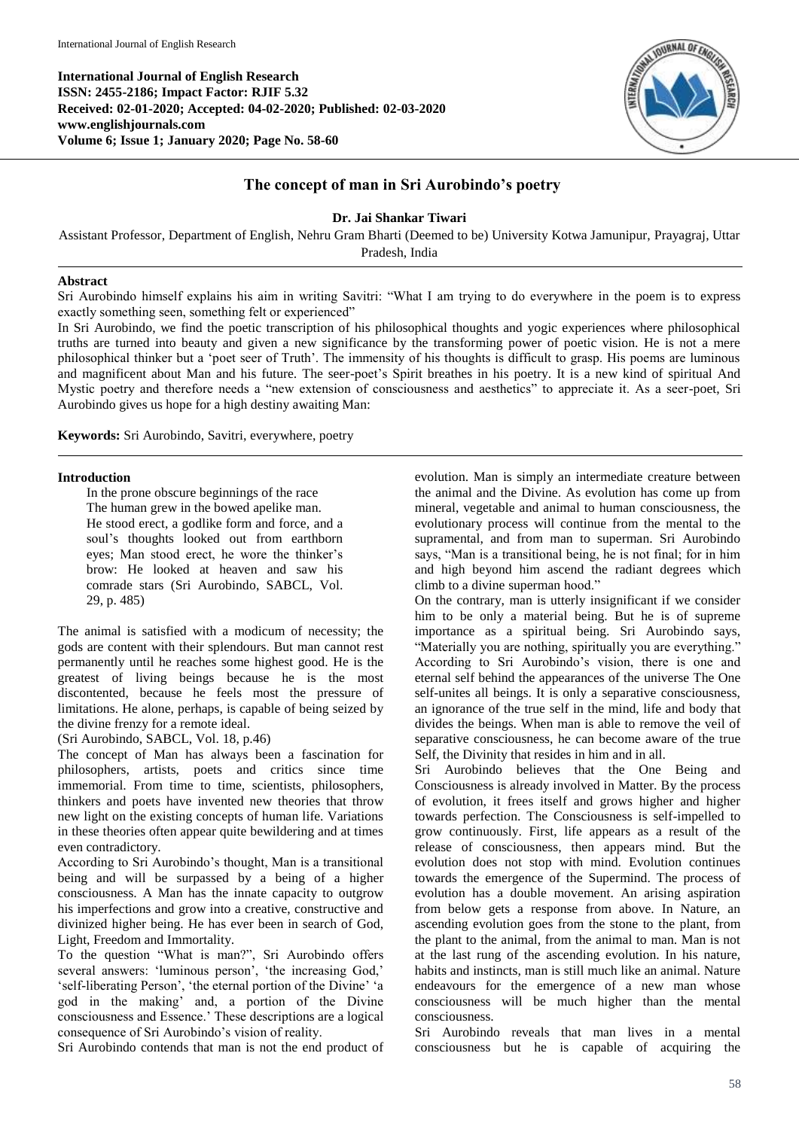

# **The concept of man in Sri Aurobindo's poetry**

**Dr. Jai Shankar Tiwari**

Assistant Professor, Department of English, Nehru Gram Bharti (Deemed to be) University Kotwa Jamunipur, Prayagraj, Uttar Pradesh, India

### **Abstract**

Sri Aurobindo himself explains his aim in writing Savitri: "What I am trying to do everywhere in the poem is to express exactly something seen, something felt or experienced"

In Sri Aurobindo, we find the poetic transcription of his philosophical thoughts and yogic experiences where philosophical truths are turned into beauty and given a new significance by the transforming power of poetic vision. He is not a mere philosophical thinker but a 'poet seer of Truth'. The immensity of his thoughts is difficult to grasp. His poems are luminous and magnificent about Man and his future. The seer-poet's Spirit breathes in his poetry. It is a new kind of spiritual And Mystic poetry and therefore needs a "new extension of consciousness and aesthetics" to appreciate it. As a seer-poet, Sri Aurobindo gives us hope for a high destiny awaiting Man:

**Keywords:** Sri Aurobindo, Savitri, everywhere, poetry

#### **Introduction**

In the prone obscure beginnings of the race The human grew in the bowed apelike man. He stood erect, a godlike form and force, and a soul's thoughts looked out from earthborn eyes; Man stood erect, he wore the thinker's brow: He looked at heaven and saw his comrade stars (Sri Aurobindo, SABCL, Vol. 29, p. 485)

The animal is satisfied with a modicum of necessity; the gods are content with their splendours. But man cannot rest permanently until he reaches some highest good. He is the greatest of living beings because he is the most discontented, because he feels most the pressure of limitations. He alone, perhaps, is capable of being seized by the divine frenzy for a remote ideal.

## (Sri Aurobindo, SABCL, Vol. 18, p.46)

The concept of Man has always been a fascination for philosophers, artists, poets and critics since time immemorial. From time to time, scientists, philosophers, thinkers and poets have invented new theories that throw new light on the existing concepts of human life. Variations in these theories often appear quite bewildering and at times even contradictory.

According to Sri Aurobindo's thought, Man is a transitional being and will be surpassed by a being of a higher consciousness. A Man has the innate capacity to outgrow his imperfections and grow into a creative, constructive and divinized higher being. He has ever been in search of God, Light, Freedom and Immortality.

To the question "What is man?", Sri Aurobindo offers several answers: 'luminous person', 'the increasing God,' 'self-liberating Person', 'the eternal portion of the Divine' 'a god in the making' and, a portion of the Divine consciousness and Essence.' These descriptions are a logical consequence of Sri Aurobindo's vision of reality.

Sri Aurobindo contends that man is not the end product of

evolution. Man is simply an intermediate creature between the animal and the Divine. As evolution has come up from mineral, vegetable and animal to human consciousness, the evolutionary process will continue from the mental to the supramental, and from man to superman. Sri Aurobindo says, "Man is a transitional being, he is not final; for in him and high beyond him ascend the radiant degrees which climb to a divine superman hood."

On the contrary, man is utterly insignificant if we consider him to be only a material being. But he is of supreme importance as a spiritual being. Sri Aurobindo says, "Materially you are nothing, spiritually you are everything." According to Sri Aurobindo's vision, there is one and eternal self behind the appearances of the universe The One self-unites all beings. It is only a separative consciousness, an ignorance of the true self in the mind, life and body that divides the beings. When man is able to remove the veil of separative consciousness, he can become aware of the true Self, the Divinity that resides in him and in all.

Sri Aurobindo believes that the One Being and Consciousness is already involved in Matter. By the process of evolution, it frees itself and grows higher and higher towards perfection. The Consciousness is self-impelled to grow continuously. First, life appears as a result of the release of consciousness, then appears mind. But the evolution does not stop with mind. Evolution continues towards the emergence of the Supermind. The process of evolution has a double movement. An arising aspiration from below gets a response from above. In Nature, an ascending evolution goes from the stone to the plant, from the plant to the animal, from the animal to man. Man is not at the last rung of the ascending evolution. In his nature, habits and instincts, man is still much like an animal. Nature endeavours for the emergence of a new man whose consciousness will be much higher than the mental consciousness.

Sri Aurobindo reveals that man lives in a mental consciousness but he is capable of acquiring the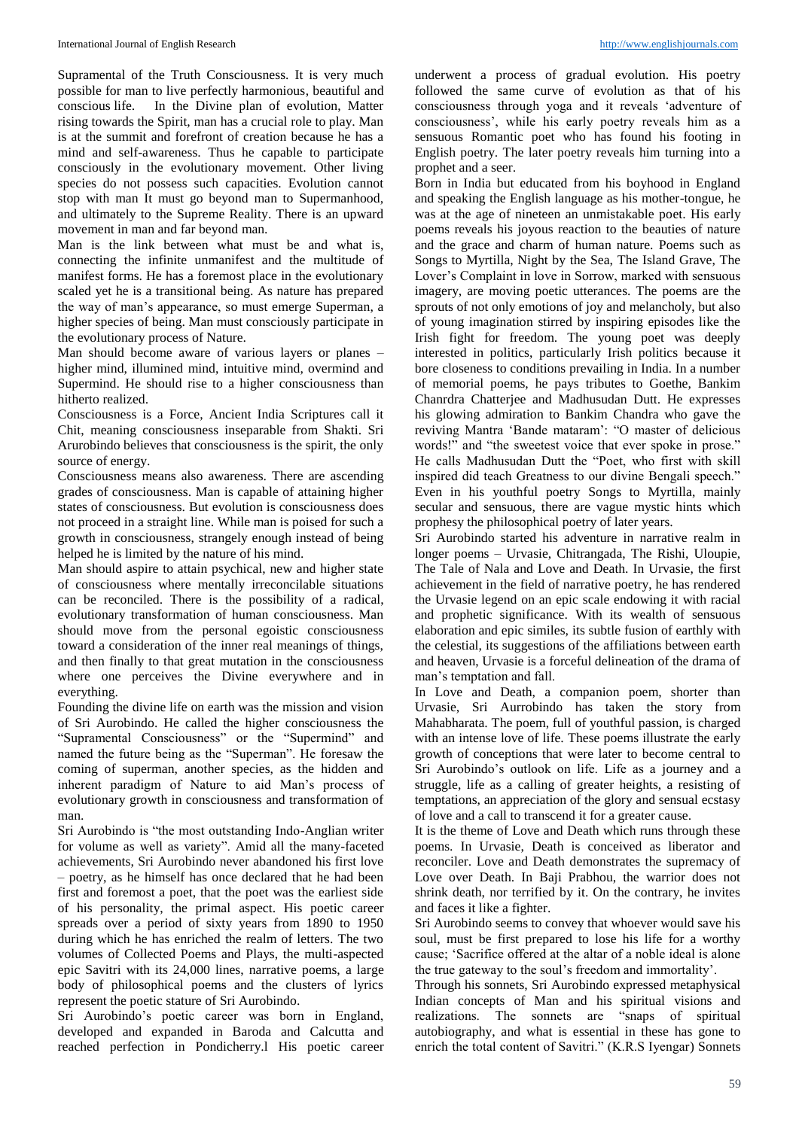Supramental of the Truth Consciousness. It is very much possible for man to live perfectly harmonious, beautiful and conscious life. In the Divine plan of evolution, Matter rising towards the Spirit, man has a crucial role to play. Man is at the summit and forefront of creation because he has a mind and self-awareness. Thus he capable to participate consciously in the evolutionary movement. Other living species do not possess such capacities. Evolution cannot stop with man It must go beyond man to Supermanhood, and ultimately to the Supreme Reality. There is an upward movement in man and far beyond man.

Man is the link between what must be and what is, connecting the infinite unmanifest and the multitude of manifest forms. He has a foremost place in the evolutionary scaled yet he is a transitional being. As nature has prepared the way of man's appearance, so must emerge Superman, a higher species of being. Man must consciously participate in the evolutionary process of Nature.

Man should become aware of various layers or planes – higher mind, illumined mind, intuitive mind, overmind and Supermind. He should rise to a higher consciousness than hitherto realized.

Consciousness is a Force, Ancient India Scriptures call it Chit, meaning consciousness inseparable from Shakti. Sri Arurobindo believes that consciousness is the spirit, the only source of energy.

Consciousness means also awareness. There are ascending grades of consciousness. Man is capable of attaining higher states of consciousness. But evolution is consciousness does not proceed in a straight line. While man is poised for such a growth in consciousness, strangely enough instead of being helped he is limited by the nature of his mind.

Man should aspire to attain psychical, new and higher state of consciousness where mentally irreconcilable situations can be reconciled. There is the possibility of a radical, evolutionary transformation of human consciousness. Man should move from the personal egoistic consciousness toward a consideration of the inner real meanings of things, and then finally to that great mutation in the consciousness where one perceives the Divine everywhere and in everything.

Founding the divine life on earth was the mission and vision of Sri Aurobindo. He called the higher consciousness the "Supramental Consciousness" or the "Supermind" and named the future being as the "Superman". He foresaw the coming of superman, another species, as the hidden and inherent paradigm of Nature to aid Man's process of evolutionary growth in consciousness and transformation of man.

Sri Aurobindo is "the most outstanding Indo-Anglian writer for volume as well as variety". Amid all the many-faceted achievements, Sri Aurobindo never abandoned his first love – poetry, as he himself has once declared that he had been first and foremost a poet, that the poet was the earliest side of his personality, the primal aspect. His poetic career spreads over a period of sixty years from 1890 to 1950 during which he has enriched the realm of letters. The two volumes of Collected Poems and Plays, the multi-aspected epic Savitri with its 24,000 lines, narrative poems, a large body of philosophical poems and the clusters of lyrics represent the poetic stature of Sri Aurobindo.

Sri Aurobindo's poetic career was born in England, developed and expanded in Baroda and Calcutta and reached perfection in Pondicherry.l His poetic career

underwent a process of gradual evolution. His poetry followed the same curve of evolution as that of his consciousness through yoga and it reveals 'adventure of consciousness', while his early poetry reveals him as a sensuous Romantic poet who has found his footing in English poetry. The later poetry reveals him turning into a prophet and a seer.

Born in India but educated from his boyhood in England and speaking the English language as his mother-tongue, he was at the age of nineteen an unmistakable poet. His early poems reveals his joyous reaction to the beauties of nature and the grace and charm of human nature. Poems such as Songs to Myrtilla, Night by the Sea, The Island Grave, The Lover's Complaint in love in Sorrow, marked with sensuous imagery, are moving poetic utterances. The poems are the sprouts of not only emotions of joy and melancholy, but also of young imagination stirred by inspiring episodes like the Irish fight for freedom. The young poet was deeply interested in politics, particularly Irish politics because it bore closeness to conditions prevailing in India. In a number of memorial poems, he pays tributes to Goethe, Bankim Chanrdra Chatterjee and Madhusudan Dutt. He expresses his glowing admiration to Bankim Chandra who gave the reviving Mantra 'Bande mataram': "O master of delicious words!" and "the sweetest voice that ever spoke in prose." He calls Madhusudan Dutt the "Poet, who first with skill inspired did teach Greatness to our divine Bengali speech." Even in his youthful poetry Songs to Myrtilla, mainly secular and sensuous, there are vague mystic hints which prophesy the philosophical poetry of later years.

Sri Aurobindo started his adventure in narrative realm in longer poems – Urvasie, Chitrangada, The Rishi, Uloupie, The Tale of Nala and Love and Death. In Urvasie, the first achievement in the field of narrative poetry, he has rendered the Urvasie legend on an epic scale endowing it with racial and prophetic significance. With its wealth of sensuous elaboration and epic similes, its subtle fusion of earthly with the celestial, its suggestions of the affiliations between earth and heaven, Urvasie is a forceful delineation of the drama of man's temptation and fall.

In Love and Death, a companion poem, shorter than Urvasie, Sri Aurrobindo has taken the story from Mahabharata. The poem, full of youthful passion, is charged with an intense love of life. These poems illustrate the early growth of conceptions that were later to become central to Sri Aurobindo's outlook on life. Life as a journey and a struggle, life as a calling of greater heights, a resisting of temptations, an appreciation of the glory and sensual ecstasy of love and a call to transcend it for a greater cause.

It is the theme of Love and Death which runs through these poems. In Urvasie, Death is conceived as liberator and reconciler. Love and Death demonstrates the supremacy of Love over Death. In Baji Prabhou, the warrior does not shrink death, nor terrified by it. On the contrary, he invites and faces it like a fighter.

Sri Aurobindo seems to convey that whoever would save his soul, must be first prepared to lose his life for a worthy cause; 'Sacrifice offered at the altar of a noble ideal is alone the true gateway to the soul's freedom and immortality'.

Through his sonnets, Sri Aurobindo expressed metaphysical Indian concepts of Man and his spiritual visions and realizations. The sonnets are "snaps of spiritual autobiography, and what is essential in these has gone to enrich the total content of Savitri." (K.R.S Iyengar) Sonnets